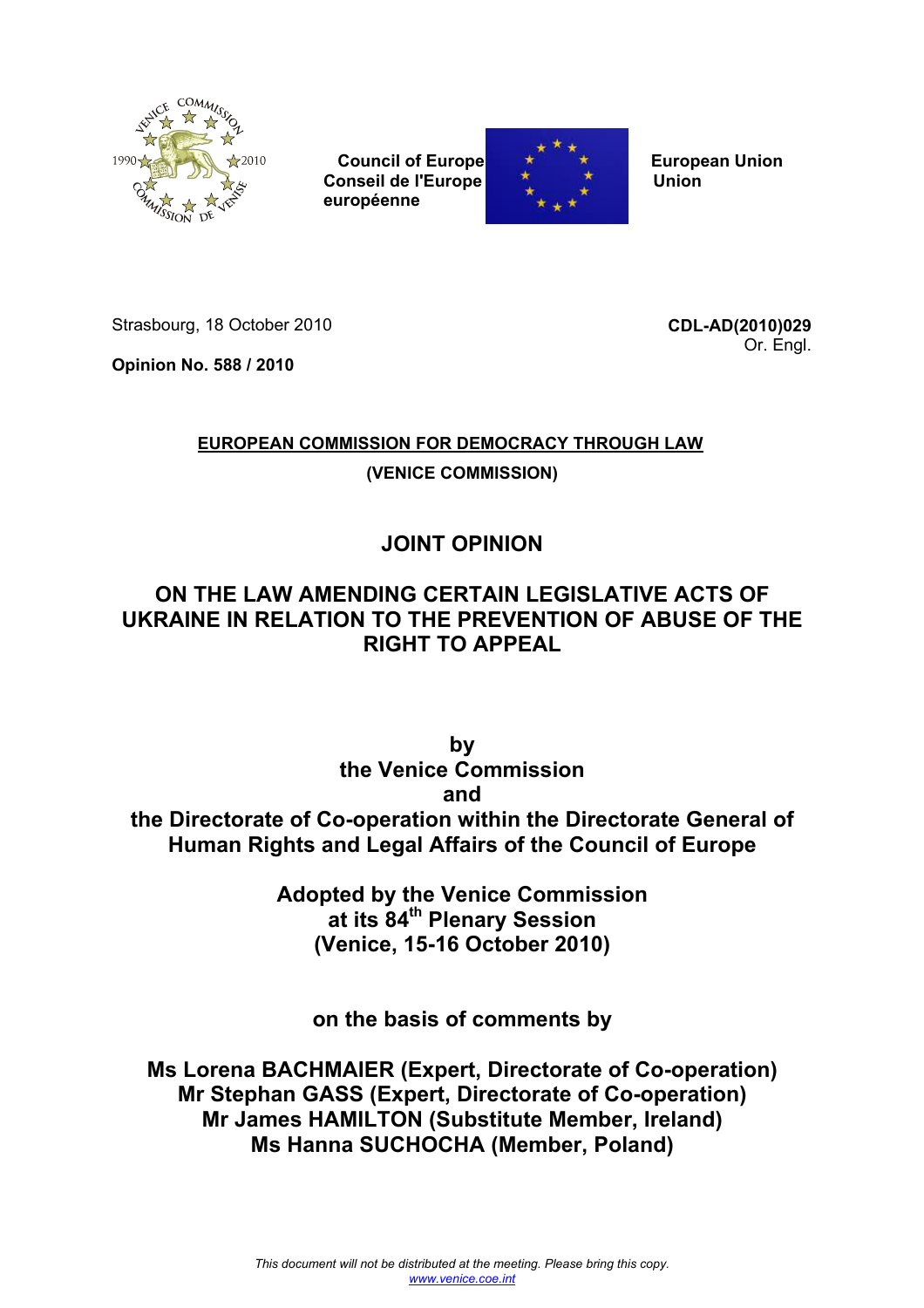

 **Council of Europe Executive European Union Conseil de l'Europe De Latin Albert De Latin Union européenne**



Strasbourg, 18 October 2010

**Opinion No. 588 / 2010** 

**CDL-AD(2010)029** Or. Engl.

# **EUROPEAN COMMISSION FOR DEMOCRACY THROUGH LAW**

**(VENICE COMMISSION)**

# **JOINT OPINION**

# **ON THE LAW AMENDING CERTAIN LEGISLATIVE ACTS OF UKRAINE IN RELATION TO THE PREVENTION OF ABUSE OF THE RIGHT TO APPEAL**

**by the Venice Commission and the Directorate of Co-operation within the Directorate General of Human Rights and Legal Affairs of the Council of Europe** 

> **Adopted by the Venice Commission at its 84th Plenary Session (Venice, 15-16 October 2010)**

**on the basis of comments by** 

**Ms Lorena BACHMAIER (Expert, Directorate of Co-operation) Mr Stephan GASS (Expert, Directorate of Co-operation) Mr James HAMILTON (Substitute Member, Ireland) Ms Hanna SUCHOCHA (Member, Poland)**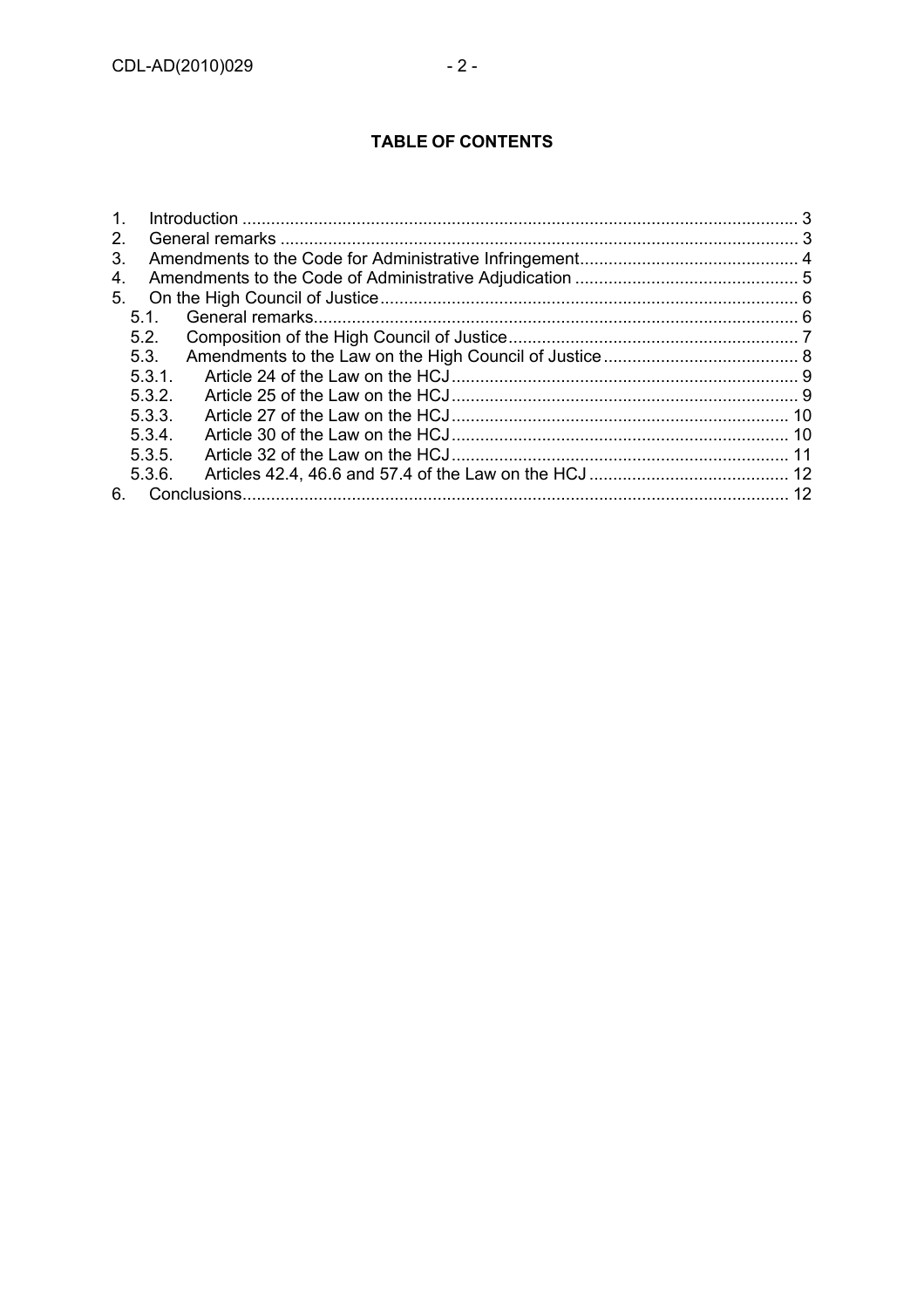# **TABLE OF CONTENTS**

| $1_{-}$ |        |  |  |
|---------|--------|--|--|
| $2_{-}$ |        |  |  |
| 3.      |        |  |  |
| 4.      |        |  |  |
| 5.      |        |  |  |
|         | 5.1.   |  |  |
|         | 5.2.   |  |  |
|         | 5.3.   |  |  |
|         | 5.3.1. |  |  |
|         | 5.3.2. |  |  |
|         | 5.3.3. |  |  |
|         | 5.3.4. |  |  |
|         | 5.3.5. |  |  |
|         | 5.3.6. |  |  |
| 6.      |        |  |  |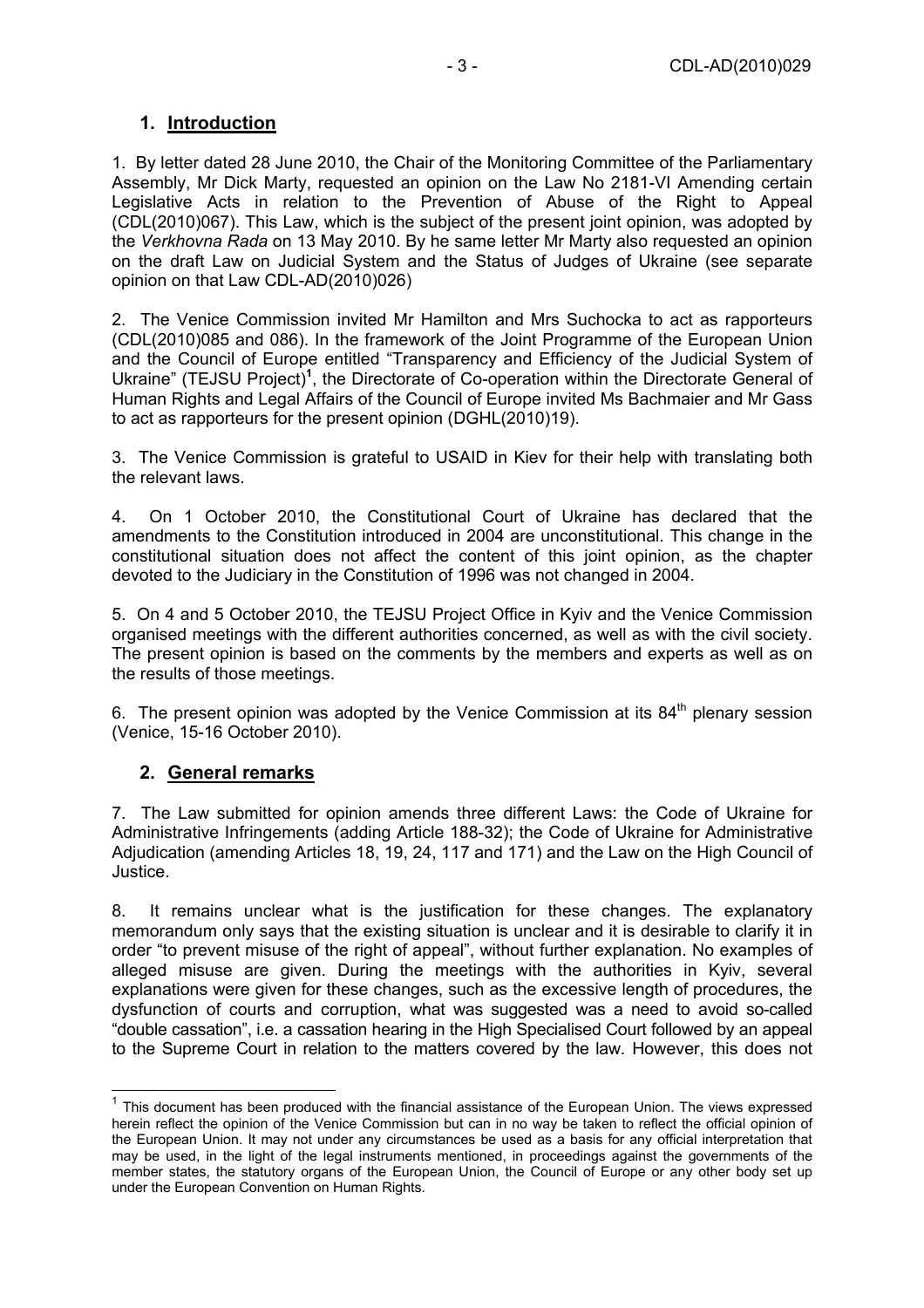## **1. Introduction**

1. By letter dated 28 June 2010, the Chair of the Monitoring Committee of the Parliamentary Assembly, Mr Dick Marty, requested an opinion on the Law No 2181-VI Amending certain Legislative Acts in relation to the Prevention of Abuse of the Right to Appeal (CDL(2010)067). This Law, which is the subject of the present joint opinion, was adopted by the *Verkhovna Rada* on 13 May 2010. By he same letter Mr Marty also requested an opinion on the draft Law on Judicial System and the Status of Judges of Ukraine (see separate opinion on that Law CDL-AD(2010)026)

2. The Venice Commission invited Mr Hamilton and Mrs Suchocka to act as rapporteurs (CDL(2010)085 and 086). In the framework of the Joint Programme of the European Union and the Council of Europe entitled "Transparency and Efficiency of the Judicial System of Ukraine" (TEJSU Project)<sup>1</sup>, the Directorate of Co-operation within the Directorate General of Human Rights and Legal Affairs of the Council of Europe invited Ms Bachmaier and Mr Gass to act as rapporteurs for the present opinion (DGHL(2010)19).

3. The Venice Commission is grateful to USAID in Kiev for their help with translating both the relevant laws.

4. On 1 October 2010, the Constitutional Court of Ukraine has declared that the amendments to the Constitution introduced in 2004 are unconstitutional. This change in the constitutional situation does not affect the content of this joint opinion, as the chapter devoted to the Judiciary in the Constitution of 1996 was not changed in 2004.

5. On 4 and 5 October 2010, the TEJSU Project Office in Kyiv and the Venice Commission organised meetings with the different authorities concerned, as well as with the civil society. The present opinion is based on the comments by the members and experts as well as on the results of those meetings.

6. The present opinion was adopted by the Venice Commission at its  $84<sup>th</sup>$  plenary session (Venice, 15-16 October 2010).

#### **2. General remarks**

 $\overline{a}$ 

7. The Law submitted for opinion amends three different Laws: the Code of Ukraine for Administrative Infringements (adding Article 188-32); the Code of Ukraine for Administrative Adjudication (amending Articles 18, 19, 24, 117 and 171) and the Law on the High Council of Justice.

8. It remains unclear what is the justification for these changes. The explanatory memorandum only says that the existing situation is unclear and it is desirable to clarify it in order "to prevent misuse of the right of appeal", without further explanation. No examples of alleged misuse are given. During the meetings with the authorities in Kyiv, several explanations were given for these changes, such as the excessive length of procedures, the dysfunction of courts and corruption, what was suggested was a need to avoid so-called "double cassation", i.e. a cassation hearing in the High Specialised Court followed by an appeal to the Supreme Court in relation to the matters covered by the law. However, this does not

 $1$  This document has been produced with the financial assistance of the European Union. The views expressed herein reflect the opinion of the Venice Commission but can in no way be taken to reflect the official opinion of the European Union. It may not under any circumstances be used as a basis for any official interpretation that may be used, in the light of the legal instruments mentioned, in proceedings against the governments of the member states, the statutory organs of the European Union, the Council of Europe or any other body set up under the European Convention on Human Rights.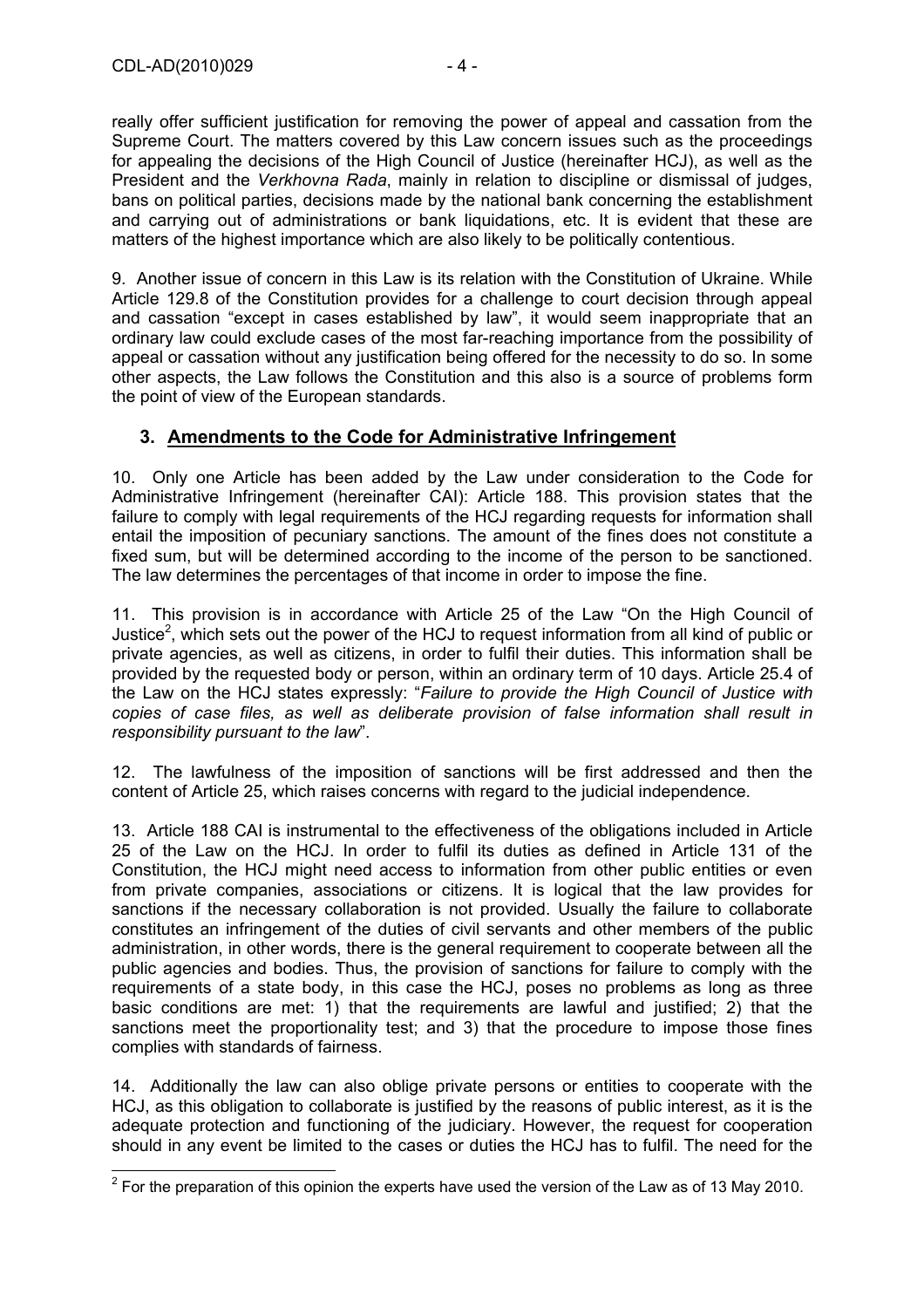really offer sufficient justification for removing the power of appeal and cassation from the Supreme Court. The matters covered by this Law concern issues such as the proceedings for appealing the decisions of the High Council of Justice (hereinafter HCJ), as well as the President and the *Verkhovna Rada*, mainly in relation to discipline or dismissal of judges, bans on political parties, decisions made by the national bank concerning the establishment and carrying out of administrations or bank liquidations, etc. It is evident that these are matters of the highest importance which are also likely to be politically contentious.

9. Another issue of concern in this Law is its relation with the Constitution of Ukraine. While Article 129.8 of the Constitution provides for a challenge to court decision through appeal and cassation "except in cases established by law", it would seem inappropriate that an ordinary law could exclude cases of the most far-reaching importance from the possibility of appeal or cassation without any justification being offered for the necessity to do so. In some other aspects, the Law follows the Constitution and this also is a source of problems form the point of view of the European standards.

#### **3. Amendments to the Code for Administrative Infringement**

10. Only one Article has been added by the Law under consideration to the Code for Administrative Infringement (hereinafter CAI): Article 188. This provision states that the failure to comply with legal requirements of the HCJ regarding requests for information shall entail the imposition of pecuniary sanctions. The amount of the fines does not constitute a fixed sum, but will be determined according to the income of the person to be sanctioned. The law determines the percentages of that income in order to impose the fine.

11. This provision is in accordance with Article 25 of the Law "On the High Council of Justice<sup>2</sup>, which sets out the power of the HCJ to request information from all kind of public or private agencies, as well as citizens, in order to fulfil their duties. This information shall be provided by the requested body or person, within an ordinary term of 10 days. Article 25.4 of the Law on the HCJ states expressly: "*Failure to provide the High Council of Justice with copies of case files, as well as deliberate provision of false information shall result in responsibility pursuant to the law*".

12. The lawfulness of the imposition of sanctions will be first addressed and then the content of Article 25, which raises concerns with regard to the judicial independence.

13. Article 188 CAI is instrumental to the effectiveness of the obligations included in Article 25 of the Law on the HCJ. In order to fulfil its duties as defined in Article 131 of the Constitution, the HCJ might need access to information from other public entities or even from private companies, associations or citizens. It is logical that the law provides for sanctions if the necessary collaboration is not provided. Usually the failure to collaborate constitutes an infringement of the duties of civil servants and other members of the public administration, in other words, there is the general requirement to cooperate between all the public agencies and bodies. Thus, the provision of sanctions for failure to comply with the requirements of a state body, in this case the HCJ, poses no problems as long as three basic conditions are met: 1) that the requirements are lawful and justified; 2) that the sanctions meet the proportionality test; and 3) that the procedure to impose those fines complies with standards of fairness.

14. Additionally the law can also oblige private persons or entities to cooperate with the HCJ, as this obligation to collaborate is justified by the reasons of public interest, as it is the adequate protection and functioning of the judiciary. However, the request for cooperation should in any event be limited to the cases or duties the HCJ has to fulfil. The need for the

<sup>&</sup>lt;u>2</u><br><sup>2</sup> For the preparation of this opinion the experts have used the version of the Law as of 13 May 2010.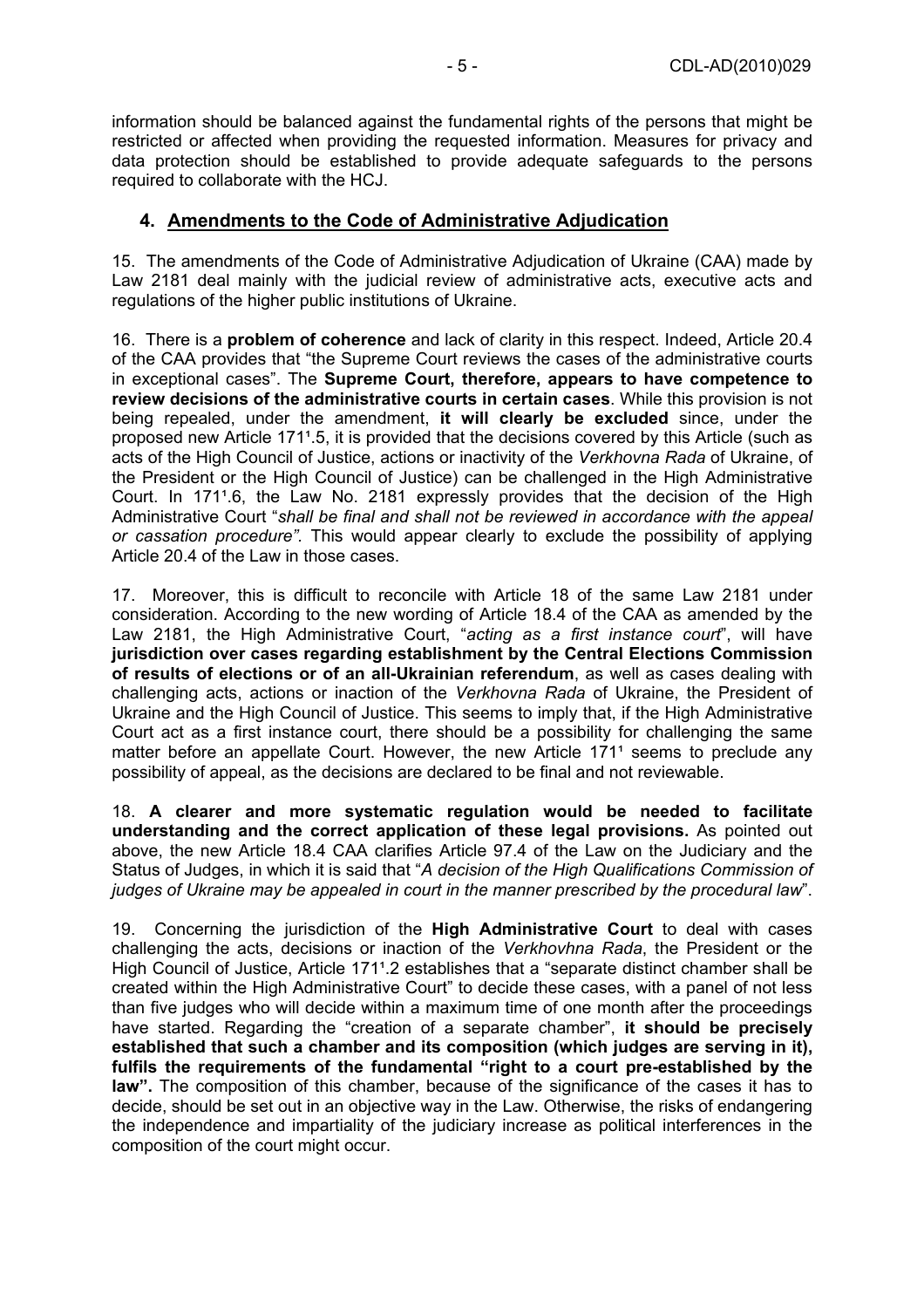information should be balanced against the fundamental rights of the persons that might be restricted or affected when providing the requested information. Measures for privacy and data protection should be established to provide adequate safeguards to the persons required to collaborate with the HCJ.

#### **4. Amendments to the Code of Administrative Adjudication**

15. The amendments of the Code of Administrative Adjudication of Ukraine (CAA) made by Law 2181 deal mainly with the judicial review of administrative acts, executive acts and regulations of the higher public institutions of Ukraine.

16. There is a **problem of coherence** and lack of clarity in this respect. Indeed, Article 20.4 of the CAA provides that "the Supreme Court reviews the cases of the administrative courts in exceptional cases". The **Supreme Court, therefore, appears to have competence to review decisions of the administrative courts in certain cases**. While this provision is not being repealed, under the amendment, **it will clearly be excluded** since, under the proposed new Article 1711.5, it is provided that the decisions covered by this Article (such as acts of the High Council of Justice, actions or inactivity of the *Verkhovna Rada* of Ukraine, of the President or the High Council of Justice) can be challenged in the High Administrative Court. In 1711.6, the Law No. 2181 expressly provides that the decision of the High Administrative Court "*shall be final and shall not be reviewed in accordance with the appeal or cassation procedure".* This would appear clearly to exclude the possibility of applying Article 20.4 of the Law in those cases.

17. Moreover, this is difficult to reconcile with Article 18 of the same Law 2181 under consideration. According to the new wording of Article 18.4 of the CAA as amended by the Law 2181, the High Administrative Court, "*acting as a first instance court*", will have **jurisdiction over cases regarding establishment by the Central Elections Commission of results of elections or of an all-Ukrainian referendum**, as well as cases dealing with challenging acts, actions or inaction of the *Verkhovna Rada* of Ukraine, the President of Ukraine and the High Council of Justice. This seems to imply that, if the High Administrative Court act as a first instance court, there should be a possibility for challenging the same matter before an appellate Court. However, the new Article 171<sup>1</sup> seems to preclude any possibility of appeal, as the decisions are declared to be final and not reviewable.

18. **A clearer and more systematic regulation would be needed to facilitate understanding and the correct application of these legal provisions.** As pointed out above, the new Article 18.4 CAA clarifies Article 97.4 of the Law on the Judiciary and the Status of Judges, in which it is said that "*A decision of the High Qualifications Commission of judges of Ukraine may be appealed in court in the manner prescribed by the procedural law*".

19. Concerning the jurisdiction of the **High Administrative Court** to deal with cases challenging the acts, decisions or inaction of the *Verkhovhna Rada*, the President or the High Council of Justice, Article 1711.2 establishes that a "separate distinct chamber shall be created within the High Administrative Court" to decide these cases, with a panel of not less than five judges who will decide within a maximum time of one month after the proceedings have started. Regarding the "creation of a separate chamber", **it should be precisely established that such a chamber and its composition (which judges are serving in it), fulfils the requirements of the fundamental "right to a court pre-established by the law".** The composition of this chamber, because of the significance of the cases it has to decide, should be set out in an objective way in the Law. Otherwise, the risks of endangering the independence and impartiality of the judiciary increase as political interferences in the composition of the court might occur.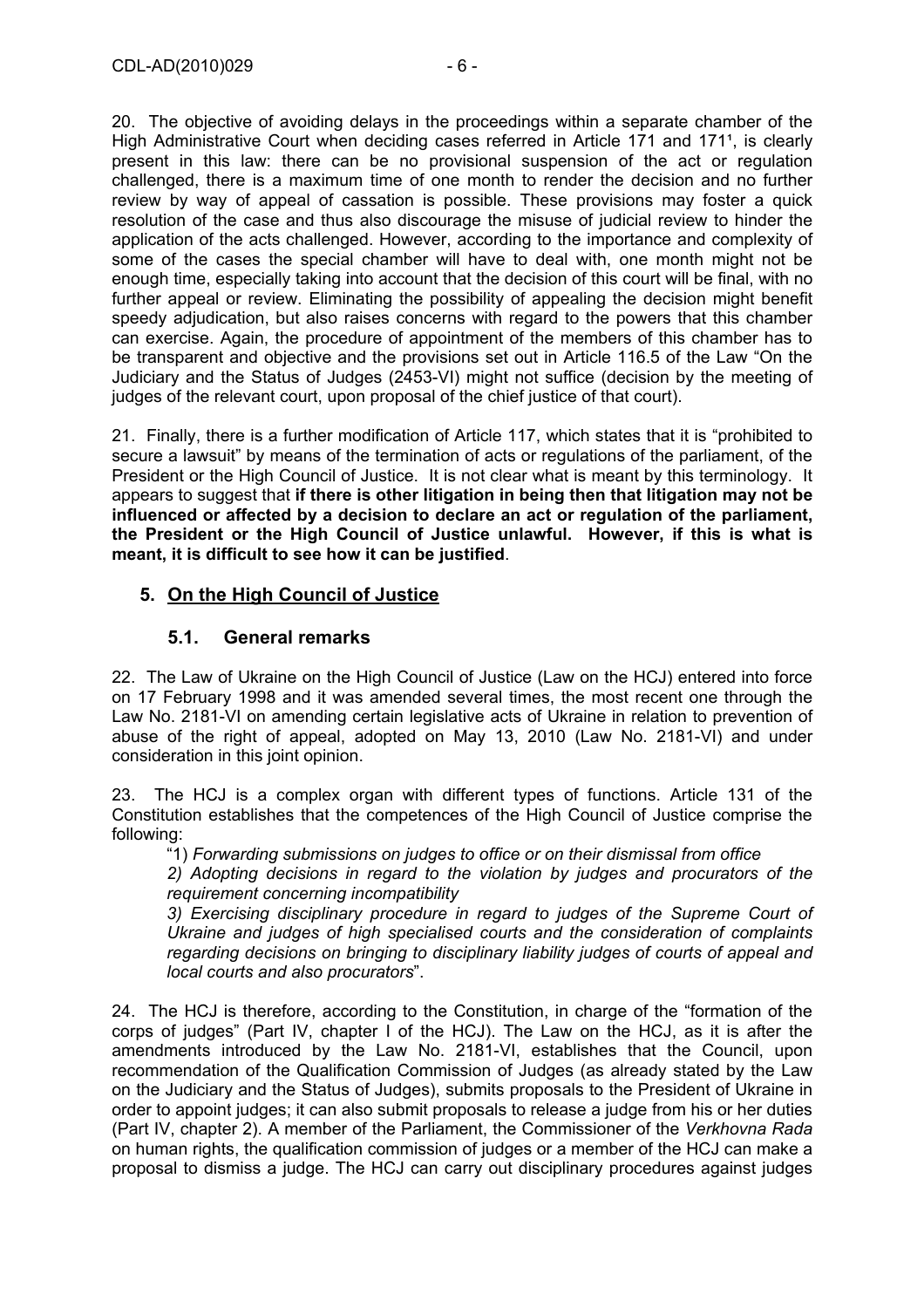20. The objective of avoiding delays in the proceedings within a separate chamber of the High Administrative Court when deciding cases referred in Article 171 and 171<sup>1</sup>, is clearly present in this law: there can be no provisional suspension of the act or regulation challenged, there is a maximum time of one month to render the decision and no further review by way of appeal of cassation is possible. These provisions may foster a quick resolution of the case and thus also discourage the misuse of judicial review to hinder the application of the acts challenged. However, according to the importance and complexity of some of the cases the special chamber will have to deal with, one month might not be enough time, especially taking into account that the decision of this court will be final, with no further appeal or review. Eliminating the possibility of appealing the decision might benefit speedy adjudication, but also raises concerns with regard to the powers that this chamber can exercise. Again, the procedure of appointment of the members of this chamber has to be transparent and objective and the provisions set out in Article 116.5 of the Law "On the Judiciary and the Status of Judges (2453-VI) might not suffice (decision by the meeting of judges of the relevant court, upon proposal of the chief justice of that court).

21. Finally, there is a further modification of Article 117, which states that it is "prohibited to secure a lawsuit" by means of the termination of acts or regulations of the parliament, of the President or the High Council of Justice. It is not clear what is meant by this terminology. It appears to suggest that **if there is other litigation in being then that litigation may not be influenced or affected by a decision to declare an act or regulation of the parliament, the President or the High Council of Justice unlawful. However, if this is what is meant, it is difficult to see how it can be justified**.

## **5. On the High Council of Justice**

#### **5.1. General remarks**

22. The Law of Ukraine on the High Council of Justice (Law on the HCJ) entered into force on 17 February 1998 and it was amended several times, the most recent one through the Law No. 2181-VI on amending certain legislative acts of Ukraine in relation to prevention of abuse of the right of appeal, adopted on May 13, 2010 (Law No. 2181-VI) and under consideration in this joint opinion.

23. The HCJ is a complex organ with different types of functions. Article 131 of the Constitution establishes that the competences of the High Council of Justice comprise the following:

"1) *Forwarding submissions on judges to office or on their dismissal from office* 

*2) Adopting decisions in regard to the violation by judges and procurators of the requirement concerning incompatibility* 

*3) Exercising disciplinary procedure in regard to judges of the Supreme Court of Ukraine and judges of high specialised courts and the consideration of complaints regarding decisions on bringing to disciplinary liability judges of courts of appeal and local courts and also procurators*".

24. The HCJ is therefore, according to the Constitution, in charge of the "formation of the corps of judges" (Part IV, chapter I of the HCJ). The Law on the HCJ, as it is after the amendments introduced by the Law No. 2181-VI, establishes that the Council, upon recommendation of the Qualification Commission of Judges (as already stated by the Law on the Judiciary and the Status of Judges), submits proposals to the President of Ukraine in order to appoint judges; it can also submit proposals to release a judge from his or her duties (Part IV, chapter 2). A member of the Parliament, the Commissioner of the *Verkhovna Rada* on human rights, the qualification commission of judges or a member of the HCJ can make a proposal to dismiss a judge. The HCJ can carry out disciplinary procedures against judges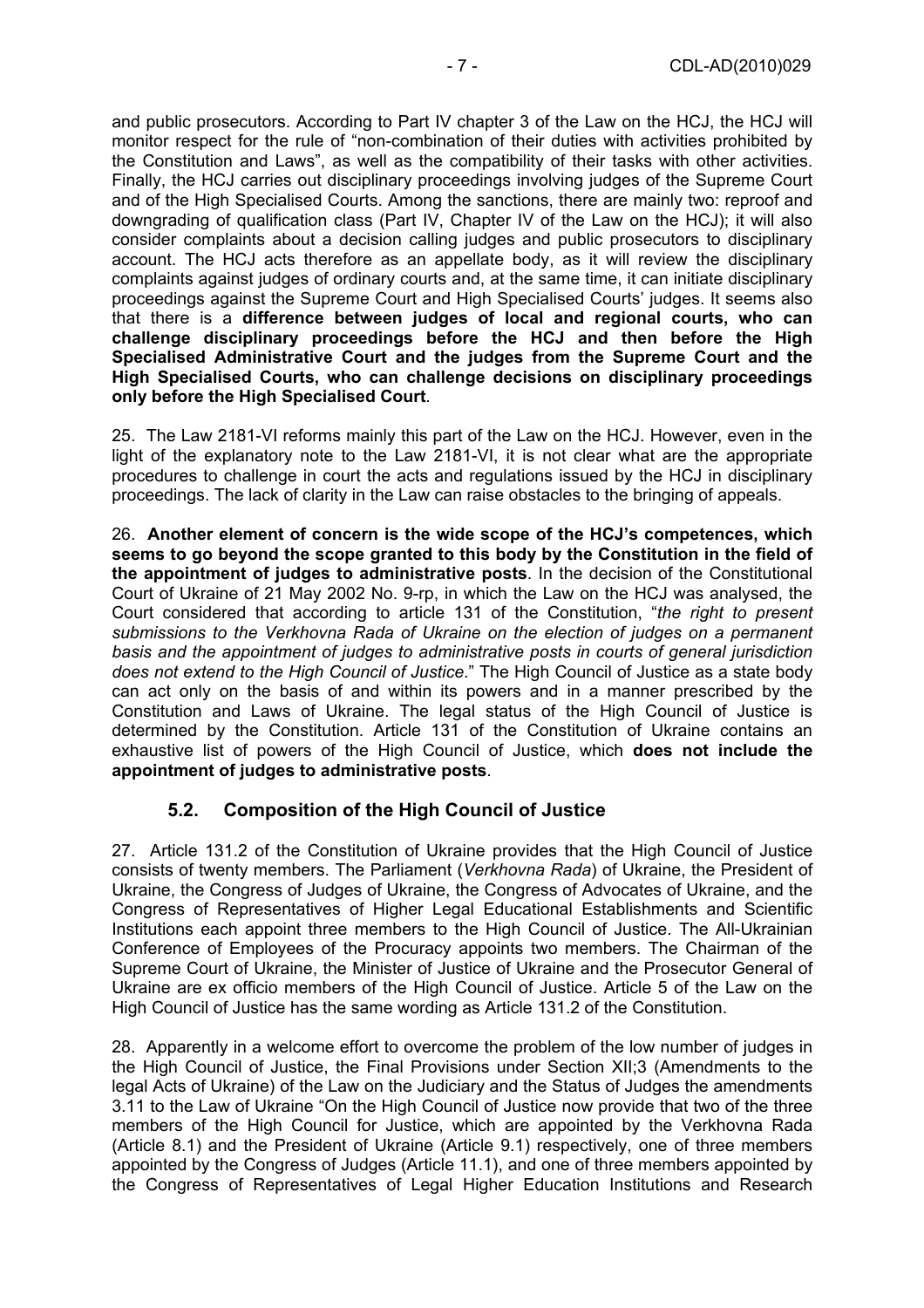and public prosecutors. According to Part IV chapter 3 of the Law on the HCJ, the HCJ will monitor respect for the rule of "non-combination of their duties with activities prohibited by the Constitution and Laws", as well as the compatibility of their tasks with other activities. Finally, the HCJ carries out disciplinary proceedings involving judges of the Supreme Court and of the High Specialised Courts. Among the sanctions, there are mainly two: reproof and downgrading of qualification class (Part IV, Chapter IV of the Law on the HCJ); it will also consider complaints about a decision calling judges and public prosecutors to disciplinary account. The HCJ acts therefore as an appellate body, as it will review the disciplinary complaints against judges of ordinary courts and, at the same time, it can initiate disciplinary proceedings against the Supreme Court and High Specialised Courts' judges. It seems also that there is a **difference between judges of local and regional courts, who can challenge disciplinary proceedings before the HCJ and then before the High Specialised Administrative Court and the judges from the Supreme Court and the High Specialised Courts, who can challenge decisions on disciplinary proceedings only before the High Specialised Court**.

25. The Law 2181-VI reforms mainly this part of the Law on the HCJ. However, even in the light of the explanatory note to the Law 2181-VI, it is not clear what are the appropriate procedures to challenge in court the acts and regulations issued by the HCJ in disciplinary proceedings. The lack of clarity in the Law can raise obstacles to the bringing of appeals.

26. **Another element of concern is the wide scope of the HCJ's competences, which seems to go beyond the scope granted to this body by the Constitution in the field of the appointment of judges to administrative posts**. In the decision of the Constitutional Court of Ukraine of 21 May 2002 No. 9-rp, in which the Law on the HCJ was analysed, the Court considered that according to article 131 of the Constitution, "*the right to present submissions to the Verkhovna Rada of Ukraine on the election of judges on a permanent basis and the appointment of judges to administrative posts in courts of general jurisdiction does not extend to the High Council of Justice*." The High Council of Justice as a state body can act only on the basis of and within its powers and in a manner prescribed by the Constitution and Laws of Ukraine. The legal status of the High Council of Justice is determined by the Constitution. Article 131 of the Constitution of Ukraine contains an exhaustive list of powers of the High Council of Justice, which **does not include the appointment of judges to administrative posts**.

#### **5.2. Composition of the High Council of Justice**

27. Article 131.2 of the Constitution of Ukraine provides that the High Council of Justice consists of twenty members. The Parliament (*Verkhovna Rada*) of Ukraine, the President of Ukraine, the Congress of Judges of Ukraine, the Congress of Advocates of Ukraine, and the Congress of Representatives of Higher Legal Educational Establishments and Scientific Institutions each appoint three members to the High Council of Justice. The All-Ukrainian Conference of Employees of the Procuracy appoints two members. The Chairman of the Supreme Court of Ukraine, the Minister of Justice of Ukraine and the Prosecutor General of Ukraine are ex officio members of the High Council of Justice. Article 5 of the Law on the High Council of Justice has the same wording as Article 131.2 of the Constitution.

28. Apparently in a welcome effort to overcome the problem of the low number of judges in the High Council of Justice, the Final Provisions under Section XII;3 (Amendments to the legal Acts of Ukraine) of the Law on the Judiciary and the Status of Judges the amendments 3.11 to the Law of Ukraine "On the High Council of Justice now provide that two of the three members of the High Council for Justice, which are appointed by the Verkhovna Rada (Article 8.1) and the President of Ukraine (Article 9.1) respectively, one of three members appointed by the Congress of Judges (Article 11.1), and one of three members appointed by the Congress of Representatives of Legal Higher Education Institutions and Research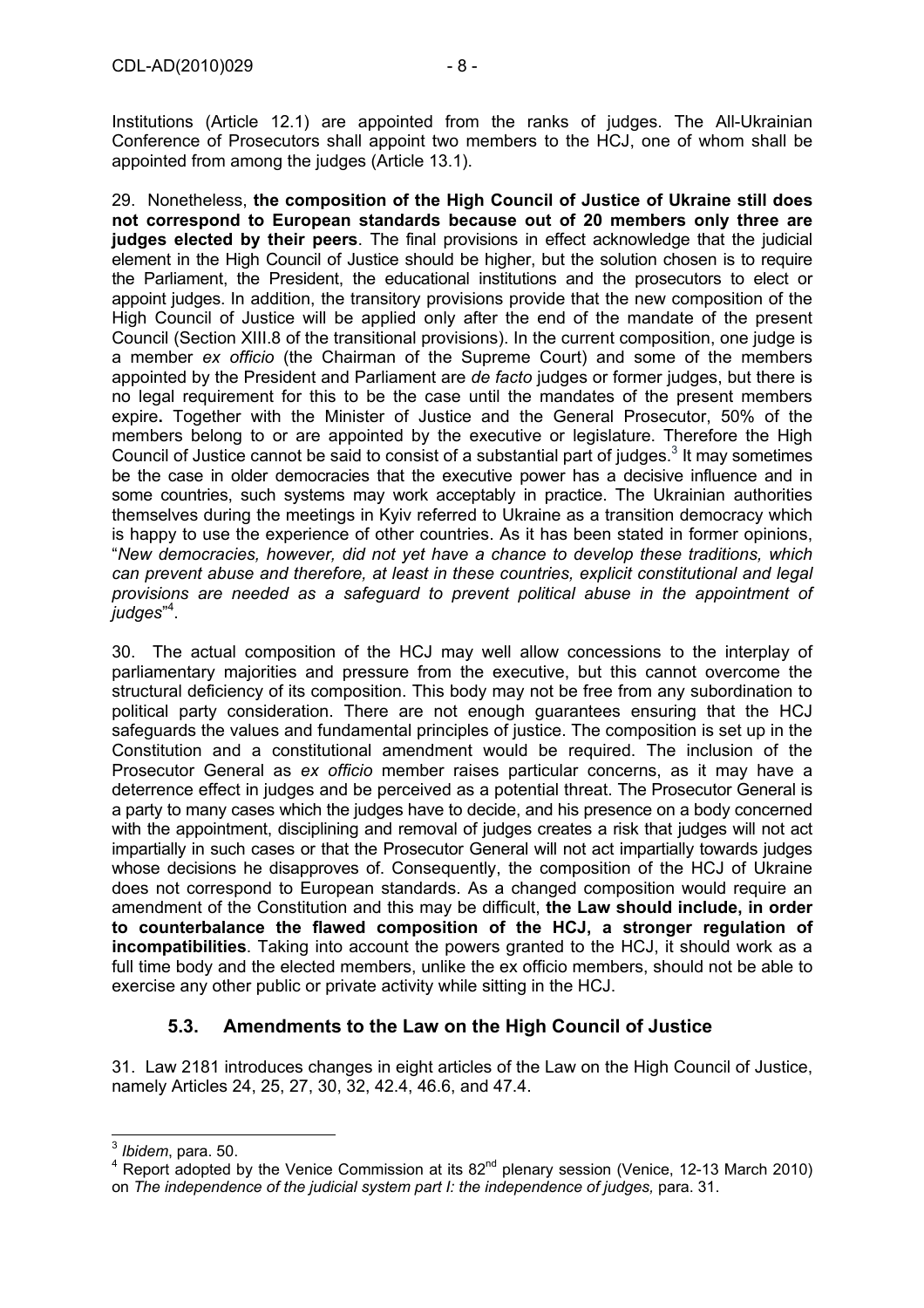Institutions (Article 12.1) are appointed from the ranks of judges. The All-Ukrainian Conference of Prosecutors shall appoint two members to the HCJ, one of whom shall be appointed from among the judges (Article 13.1).

29. Nonetheless, **the composition of the High Council of Justice of Ukraine still does not correspond to European standards because out of 20 members only three are judges elected by their peers**. The final provisions in effect acknowledge that the judicial element in the High Council of Justice should be higher, but the solution chosen is to require the Parliament, the President, the educational institutions and the prosecutors to elect or appoint judges. In addition, the transitory provisions provide that the new composition of the High Council of Justice will be applied only after the end of the mandate of the present Council (Section XIII.8 of the transitional provisions). In the current composition, one judge is a member *ex officio* (the Chairman of the Supreme Court) and some of the members appointed by the President and Parliament are *de facto* judges or former judges, but there is no legal requirement for this to be the case until the mandates of the present members expire**.** Together with the Minister of Justice and the General Prosecutor, 50% of the members belong to or are appointed by the executive or legislature. Therefore the High Council of Justice cannot be said to consist of a substantial part of judges. $3$  It may sometimes be the case in older democracies that the executive power has a decisive influence and in some countries, such systems may work acceptably in practice. The Ukrainian authorities themselves during the meetings in Kyiv referred to Ukraine as a transition democracy which is happy to use the experience of other countries. As it has been stated in former opinions, "*New democracies, however, did not yet have a chance to develop these traditions, which can prevent abuse and therefore, at least in these countries, explicit constitutional and legal provisions are needed as a safeguard to prevent political abuse in the appointment of judges*" 4 .

30. The actual composition of the HCJ may well allow concessions to the interplay of parliamentary majorities and pressure from the executive, but this cannot overcome the structural deficiency of its composition. This body may not be free from any subordination to political party consideration. There are not enough guarantees ensuring that the HCJ safeguards the values and fundamental principles of justice. The composition is set up in the Constitution and a constitutional amendment would be required. The inclusion of the Prosecutor General as *ex officio* member raises particular concerns, as it may have a deterrence effect in judges and be perceived as a potential threat. The Prosecutor General is a party to many cases which the judges have to decide, and his presence on a body concerned with the appointment, disciplining and removal of judges creates a risk that judges will not act impartially in such cases or that the Prosecutor General will not act impartially towards judges whose decisions he disapproves of. Consequently, the composition of the HCJ of Ukraine does not correspond to European standards. As a changed composition would require an amendment of the Constitution and this may be difficult, **the Law should include, in order to counterbalance the flawed composition of the HCJ, a stronger regulation of incompatibilities**. Taking into account the powers granted to the HCJ, it should work as a full time body and the elected members, unlike the ex officio members, should not be able to exercise any other public or private activity while sitting in the HCJ.

# **5.3. Amendments to the Law on the High Council of Justice**

31. Law 2181 introduces changes in eight articles of the Law on the High Council of Justice, namely Articles 24, 25, 27, 30, 32, 42.4, 46.6, and 47.4.

 <sup>3</sup> *Ibidem*, para. 50.<br><sup>4</sup> Perest edented b

 $\frac{4}{1}$  Report adopted by the Venice Commission at its 82<sup>nd</sup> plenary session (Venice, 12-13 March 2010) on *The independence of the judicial system part I: the independence of judges,* para. 31.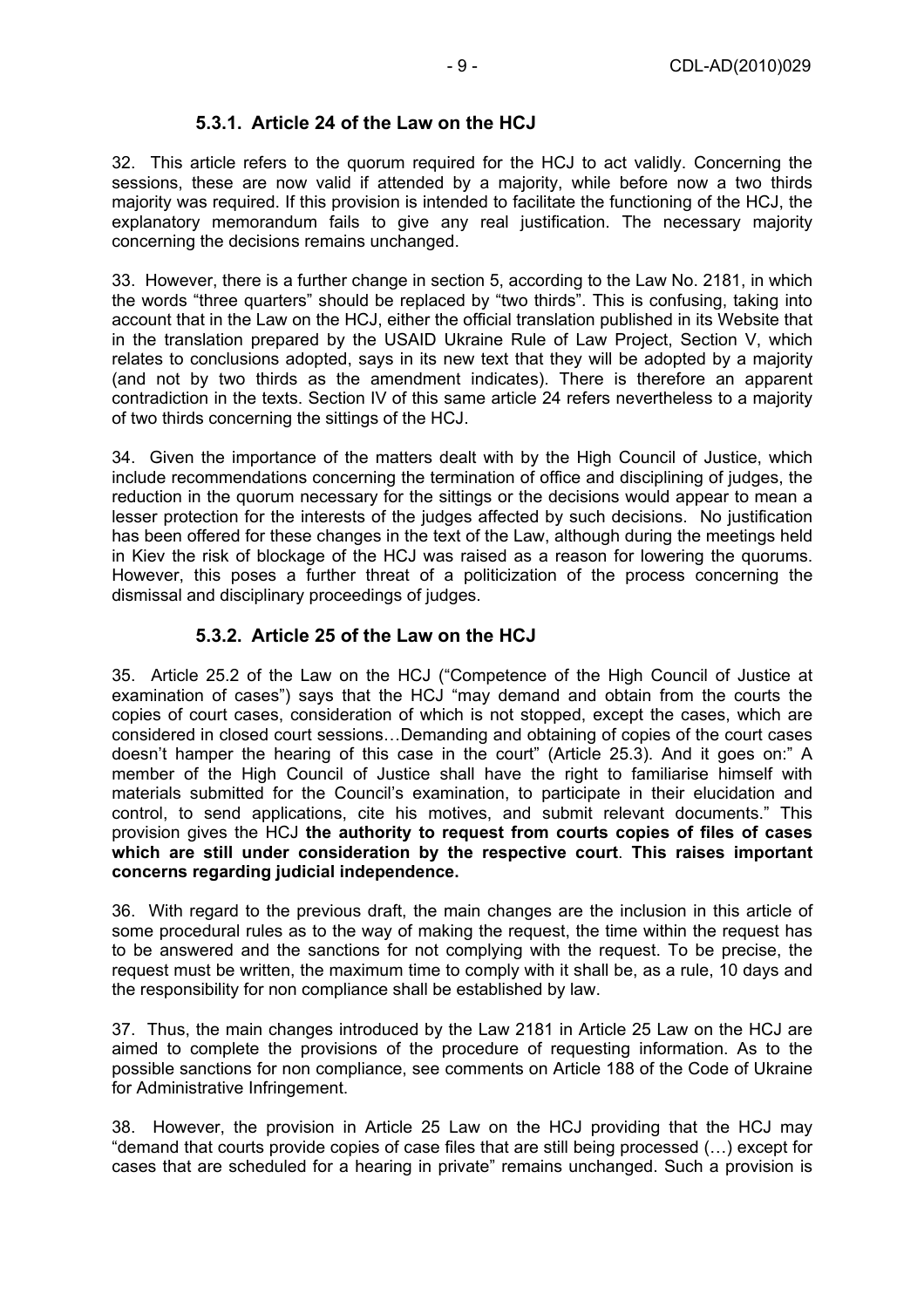## **5.3.1. Article 24 of the Law on the HCJ**

32. This article refers to the quorum required for the HCJ to act validly. Concerning the sessions, these are now valid if attended by a majority, while before now a two thirds majority was required. If this provision is intended to facilitate the functioning of the HCJ, the explanatory memorandum fails to give any real justification. The necessary majority concerning the decisions remains unchanged.

33. However, there is a further change in section 5, according to the Law No. 2181, in which the words "three quarters" should be replaced by "two thirds". This is confusing, taking into account that in the Law on the HCJ, either the official translation published in its Website that in the translation prepared by the USAID Ukraine Rule of Law Project, Section V, which relates to conclusions adopted, says in its new text that they will be adopted by a majority (and not by two thirds as the amendment indicates). There is therefore an apparent contradiction in the texts. Section IV of this same article 24 refers nevertheless to a majority of two thirds concerning the sittings of the HCJ.

34. Given the importance of the matters dealt with by the High Council of Justice, which include recommendations concerning the termination of office and disciplining of judges, the reduction in the quorum necessary for the sittings or the decisions would appear to mean a lesser protection for the interests of the judges affected by such decisions. No justification has been offered for these changes in the text of the Law, although during the meetings held in Kiev the risk of blockage of the HCJ was raised as a reason for lowering the quorums. However, this poses a further threat of a politicization of the process concerning the dismissal and disciplinary proceedings of judges.

## **5.3.2. Article 25 of the Law on the HCJ**

35. Article 25.2 of the Law on the HCJ ("Competence of the High Council of Justice at examination of cases") says that the HCJ "may demand and obtain from the courts the copies of court cases, consideration of which is not stopped, except the cases, which are considered in closed court sessions…Demanding and obtaining of copies of the court cases doesn't hamper the hearing of this case in the court" (Article 25.3). And it goes on:" A member of the High Council of Justice shall have the right to familiarise himself with materials submitted for the Council's examination, to participate in their elucidation and control, to send applications, cite his motives, and submit relevant documents." This provision gives the HCJ **the authority to request from courts copies of files of cases which are still under consideration by the respective court**. **This raises important concerns regarding judicial independence.**

36. With regard to the previous draft, the main changes are the inclusion in this article of some procedural rules as to the way of making the request, the time within the request has to be answered and the sanctions for not complying with the request. To be precise, the request must be written, the maximum time to comply with it shall be, as a rule, 10 days and the responsibility for non compliance shall be established by law.

37. Thus, the main changes introduced by the Law 2181 in Article 25 Law on the HCJ are aimed to complete the provisions of the procedure of requesting information. As to the possible sanctions for non compliance, see comments on Article 188 of the Code of Ukraine for Administrative Infringement.

38. However, the provision in Article 25 Law on the HCJ providing that the HCJ may "demand that courts provide copies of case files that are still being processed (…) except for cases that are scheduled for a hearing in private" remains unchanged. Such a provision is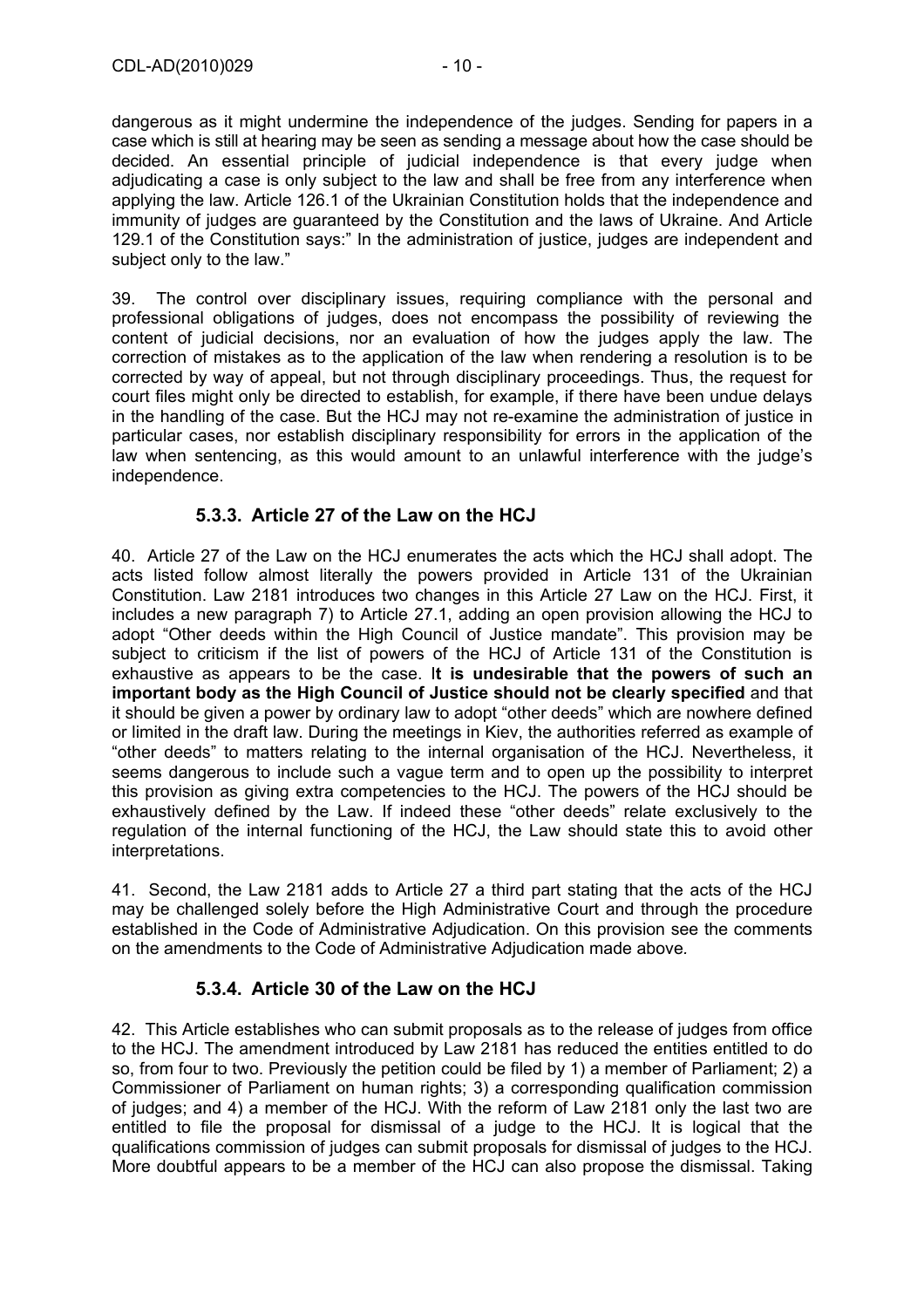dangerous as it might undermine the independence of the judges. Sending for papers in a case which is still at hearing may be seen as sending a message about how the case should be decided. An essential principle of judicial independence is that every judge when adjudicating a case is only subject to the law and shall be free from any interference when applying the law. Article 126.1 of the Ukrainian Constitution holds that the independence and immunity of judges are guaranteed by the Constitution and the laws of Ukraine. And Article 129.1 of the Constitution says:" In the administration of justice, judges are independent and subject only to the law."

39. The control over disciplinary issues, requiring compliance with the personal and professional obligations of judges, does not encompass the possibility of reviewing the content of judicial decisions, nor an evaluation of how the judges apply the law. The correction of mistakes as to the application of the law when rendering a resolution is to be corrected by way of appeal, but not through disciplinary proceedings. Thus, the request for court files might only be directed to establish, for example, if there have been undue delays in the handling of the case. But the HCJ may not re-examine the administration of justice in particular cases, nor establish disciplinary responsibility for errors in the application of the law when sentencing, as this would amount to an unlawful interference with the judge's independence.

#### **5.3.3. Article 27 of the Law on the HCJ**

40. Article 27 of the Law on the HCJ enumerates the acts which the HCJ shall adopt. The acts listed follow almost literally the powers provided in Article 131 of the Ukrainian Constitution. Law 2181 introduces two changes in this Article 27 Law on the HCJ. First, it includes a new paragraph 7) to Article 27.1, adding an open provision allowing the HCJ to adopt "Other deeds within the High Council of Justice mandate". This provision may be subject to criticism if the list of powers of the HCJ of Article 131 of the Constitution is exhaustive as appears to be the case. I**t is undesirable that the powers of such an important body as the High Council of Justice should not be clearly specified** and that it should be given a power by ordinary law to adopt "other deeds" which are nowhere defined or limited in the draft law. During the meetings in Kiev, the authorities referred as example of "other deeds" to matters relating to the internal organisation of the HCJ. Nevertheless, it seems dangerous to include such a vague term and to open up the possibility to interpret this provision as giving extra competencies to the HCJ. The powers of the HCJ should be exhaustively defined by the Law. If indeed these "other deeds" relate exclusively to the regulation of the internal functioning of the HCJ, the Law should state this to avoid other interpretations.

41. Second, the Law 2181 adds to Article 27 a third part stating that the acts of the HCJ may be challenged solely before the High Administrative Court and through the procedure established in the Code of Administrative Adjudication. On this provision see the comments on the amendments to the Code of Administrative Adjudication made above*.* 

#### **5.3.4. Article 30 of the Law on the HCJ**

42. This Article establishes who can submit proposals as to the release of judges from office to the HCJ. The amendment introduced by Law 2181 has reduced the entities entitled to do so, from four to two. Previously the petition could be filed by 1) a member of Parliament; 2) a Commissioner of Parliament on human rights; 3) a corresponding qualification commission of judges; and 4) a member of the HCJ. With the reform of Law 2181 only the last two are entitled to file the proposal for dismissal of a judge to the HCJ. It is logical that the qualifications commission of judges can submit proposals for dismissal of judges to the HCJ. More doubtful appears to be a member of the HCJ can also propose the dismissal. Taking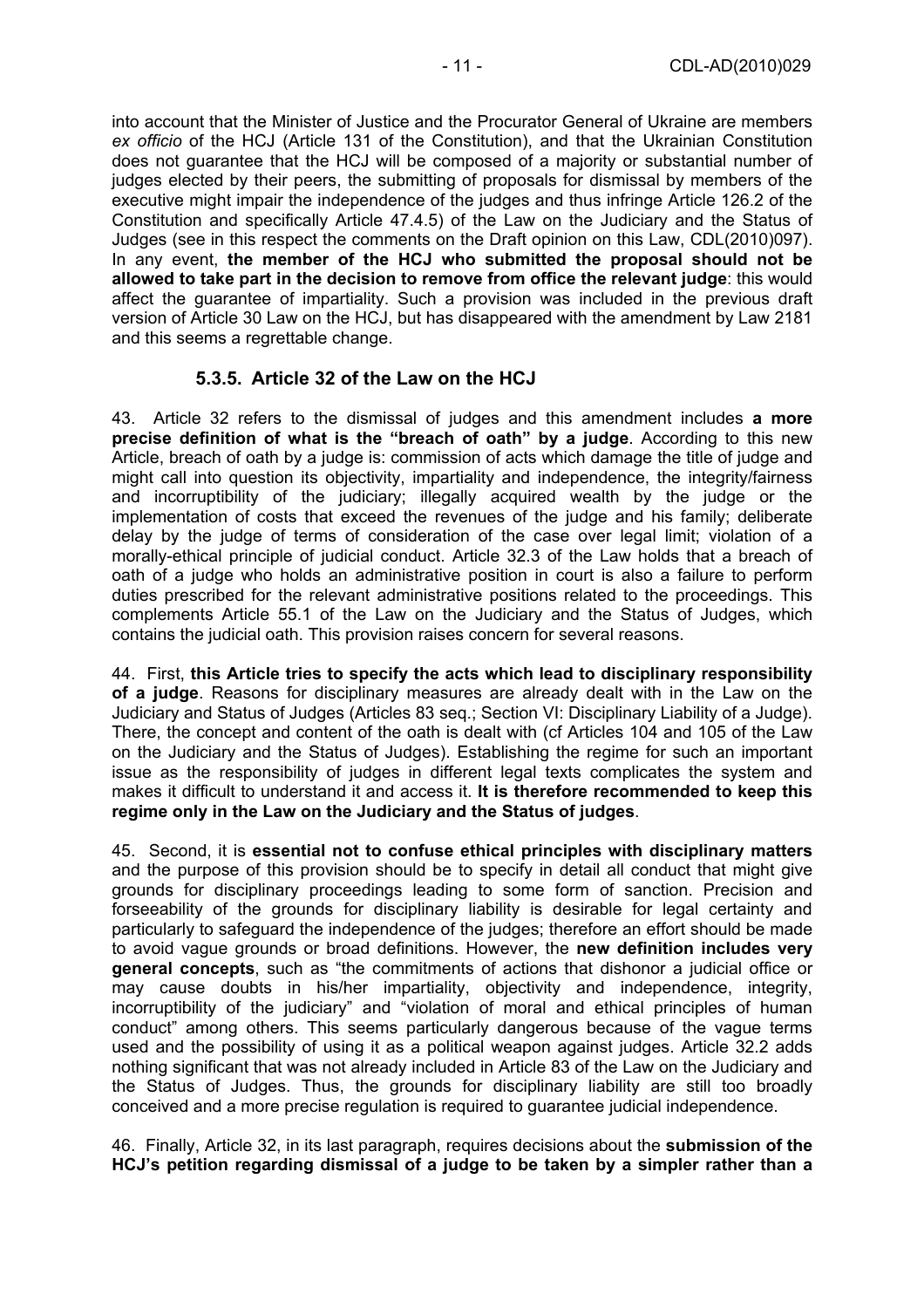into account that the Minister of Justice and the Procurator General of Ukraine are members *ex officio* of the HCJ (Article 131 of the Constitution), and that the Ukrainian Constitution does not guarantee that the HCJ will be composed of a majority or substantial number of judges elected by their peers, the submitting of proposals for dismissal by members of the executive might impair the independence of the judges and thus infringe Article 126.2 of the Constitution and specifically Article 47.4.5) of the Law on the Judiciary and the Status of Judges (see in this respect the comments on the Draft opinion on this Law, CDL(2010)097). In any event, **the member of the HCJ who submitted the proposal should not be allowed to take part in the decision to remove from office the relevant judge**: this would affect the guarantee of impartiality. Such a provision was included in the previous draft version of Article 30 Law on the HCJ, but has disappeared with the amendment by Law 2181 and this seems a regrettable change.

#### **5.3.5. Article 32 of the Law on the HCJ**

43. Article 32 refers to the dismissal of judges and this amendment includes **a more precise definition of what is the "breach of oath" by a judge**. According to this new Article, breach of oath by a judge is: commission of acts which damage the title of judge and might call into question its objectivity, impartiality and independence, the integrity/fairness and incorruptibility of the judiciary; illegally acquired wealth by the judge or the implementation of costs that exceed the revenues of the judge and his family; deliberate delay by the judge of terms of consideration of the case over legal limit; violation of a morally-ethical principle of judicial conduct. Article 32.3 of the Law holds that a breach of oath of a judge who holds an administrative position in court is also a failure to perform duties prescribed for the relevant administrative positions related to the proceedings. This complements Article 55.1 of the Law on the Judiciary and the Status of Judges, which contains the judicial oath. This provision raises concern for several reasons.

44. First, **this Article tries to specify the acts which lead to disciplinary responsibility of a judge**. Reasons for disciplinary measures are already dealt with in the Law on the Judiciary and Status of Judges (Articles 83 seq.; Section VI: Disciplinary Liability of a Judge). There, the concept and content of the oath is dealt with (cf Articles 104 and 105 of the Law on the Judiciary and the Status of Judges). Establishing the regime for such an important issue as the responsibility of judges in different legal texts complicates the system and makes it difficult to understand it and access it. **It is therefore recommended to keep this regime only in the Law on the Judiciary and the Status of judges**.

45. Second, it is **essential not to confuse ethical principles with disciplinary matters** and the purpose of this provision should be to specify in detail all conduct that might give grounds for disciplinary proceedings leading to some form of sanction. Precision and forseeability of the grounds for disciplinary liability is desirable for legal certainty and particularly to safeguard the independence of the judges; therefore an effort should be made to avoid vague grounds or broad definitions. However, the **new definition includes very general concepts**, such as "the commitments of actions that dishonor a judicial office or may cause doubts in his/her impartiality, objectivity and independence, integrity, incorruptibility of the judiciary" and "violation of moral and ethical principles of human conduct" among others. This seems particularly dangerous because of the vague terms used and the possibility of using it as a political weapon against judges. Article 32.2 adds nothing significant that was not already included in Article 83 of the Law on the Judiciary and the Status of Judges. Thus, the grounds for disciplinary liability are still too broadly conceived and a more precise regulation is required to guarantee judicial independence.

46. Finally, Article 32, in its last paragraph, requires decisions about the **submission of the HCJ's petition regarding dismissal of a judge to be taken by a simpler rather than a**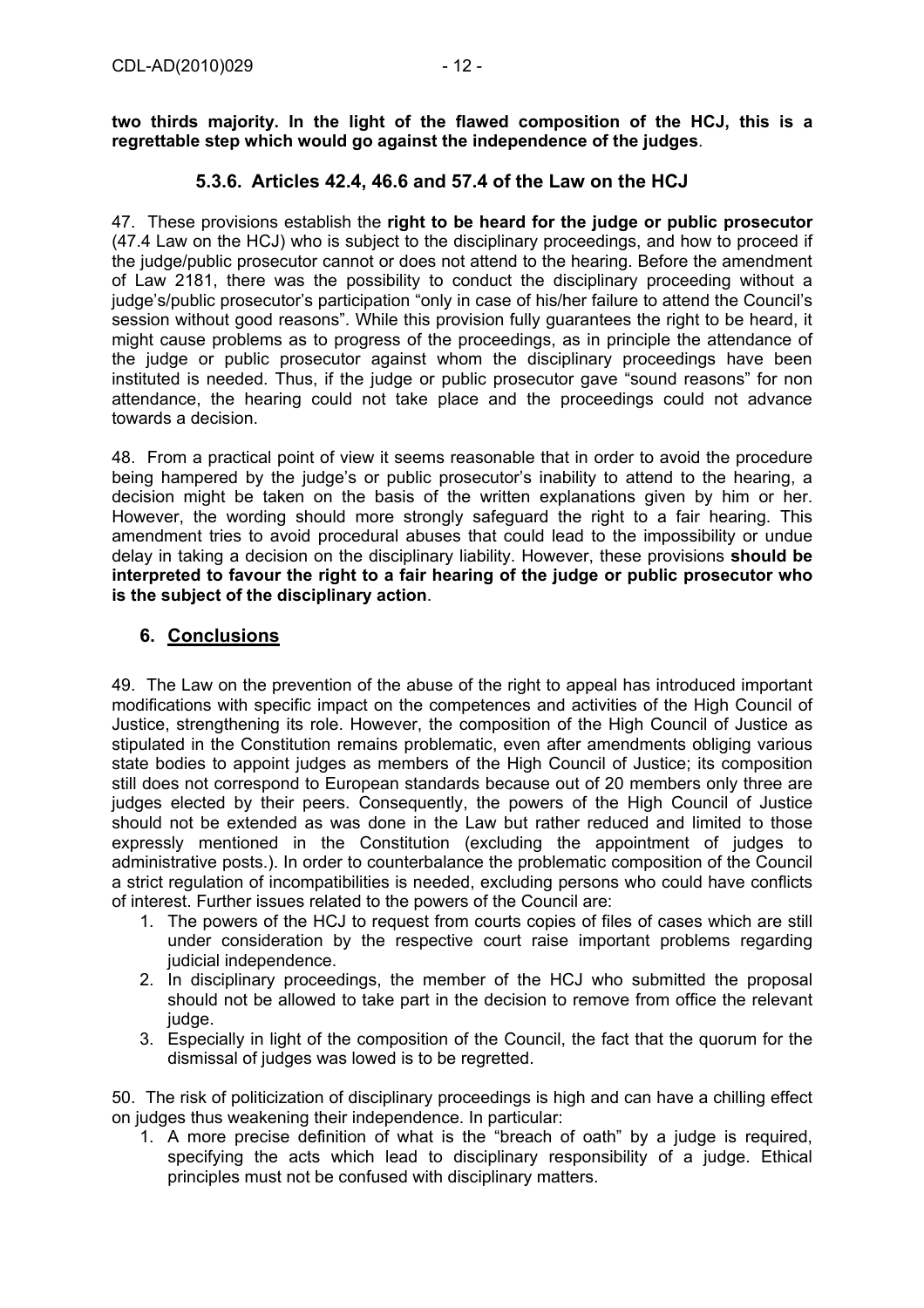**two thirds majority. In the light of the flawed composition of the HCJ, this is a regrettable step which would go against the independence of the judges**.

#### **5.3.6. Articles 42.4, 46.6 and 57.4 of the Law on the HCJ**

47. These provisions establish the **right to be heard for the judge or public prosecutor** (47.4 Law on the HCJ) who is subject to the disciplinary proceedings, and how to proceed if the judge/public prosecutor cannot or does not attend to the hearing. Before the amendment of Law 2181, there was the possibility to conduct the disciplinary proceeding without a judge's/public prosecutor's participation "only in case of his/her failure to attend the Council's session without good reasons". While this provision fully guarantees the right to be heard, it might cause problems as to progress of the proceedings, as in principle the attendance of the judge or public prosecutor against whom the disciplinary proceedings have been instituted is needed. Thus, if the judge or public prosecutor gave "sound reasons" for non attendance, the hearing could not take place and the proceedings could not advance towards a decision.

48. From a practical point of view it seems reasonable that in order to avoid the procedure being hampered by the judge's or public prosecutor's inability to attend to the hearing, a decision might be taken on the basis of the written explanations given by him or her. However, the wording should more strongly safeguard the right to a fair hearing. This amendment tries to avoid procedural abuses that could lead to the impossibility or undue delay in taking a decision on the disciplinary liability. However, these provisions **should be interpreted to favour the right to a fair hearing of the judge or public prosecutor who is the subject of the disciplinary action**.

#### **6. Conclusions**

49. The Law on the prevention of the abuse of the right to appeal has introduced important modifications with specific impact on the competences and activities of the High Council of Justice, strengthening its role. However, the composition of the High Council of Justice as stipulated in the Constitution remains problematic, even after amendments obliging various state bodies to appoint judges as members of the High Council of Justice; its composition still does not correspond to European standards because out of 20 members only three are judges elected by their peers. Consequently, the powers of the High Council of Justice should not be extended as was done in the Law but rather reduced and limited to those expressly mentioned in the Constitution (excluding the appointment of judges to administrative posts.). In order to counterbalance the problematic composition of the Council a strict regulation of incompatibilities is needed, excluding persons who could have conflicts of interest. Further issues related to the powers of the Council are:

- 1. The powers of the HCJ to request from courts copies of files of cases which are still under consideration by the respective court raise important problems regarding judicial independence.
- 2. In disciplinary proceedings, the member of the HCJ who submitted the proposal should not be allowed to take part in the decision to remove from office the relevant judge.
- 3. Especially in light of the composition of the Council, the fact that the quorum for the dismissal of judges was lowed is to be regretted.

50. The risk of politicization of disciplinary proceedings is high and can have a chilling effect on judges thus weakening their independence. In particular:

1. A more precise definition of what is the "breach of oath" by a judge is required, specifying the acts which lead to disciplinary responsibility of a judge. Ethical principles must not be confused with disciplinary matters.